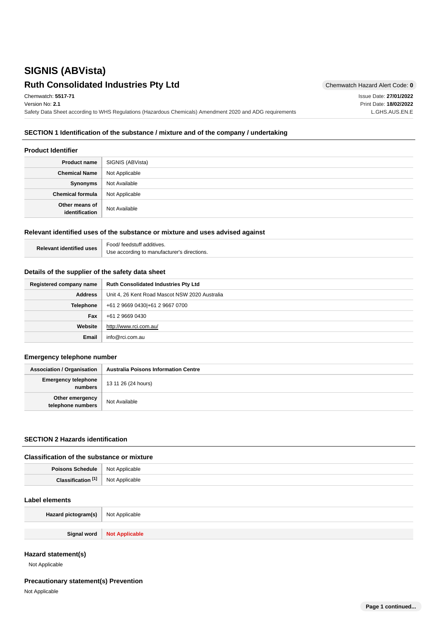# **SIGNIS (ABVista) Ruth Consolidated Industries Pty Ltd** Chemwatch Hazard Alert Code: 0

Issue Date: **27/01/2022** Print Date: **18/02/2022** L.GHS.AUS.EN.E

Chemwatch: **5517-71** Version No: **2.1** Safety Data Sheet according to WHS Regulations (Hazardous Chemicals) Amendment 2020 and ADG requirements

## **SECTION 1 Identification of the substance / mixture and of the company / undertaking**

#### **Product Identifier**

| <b>Product name</b>              | SIGNIS (ABVista) |
|----------------------------------|------------------|
| <b>Chemical Name</b>             | Not Applicable   |
| Synonyms                         | Not Available    |
| <b>Chemical formula</b>          | Not Applicable   |
| Other means of<br>identification | Not Available    |

#### **Relevant identified uses of the substance or mixture and uses advised against**

| <b>Relevant identified uses</b> | Food/feedstuff additives.                   |
|---------------------------------|---------------------------------------------|
|                                 | Use according to manufacturer's directions. |

#### **Details of the supplier of the safety data sheet**

| Registered company name | <b>Ruth Consolidated Industries Pty Ltd</b>    |
|-------------------------|------------------------------------------------|
| <b>Address</b>          | Unit 4, 26 Kent Road Mascot NSW 2020 Australia |
| <b>Telephone</b>        | +61 2 9669 0430 + 61 2 9667 0700               |
| Fax                     | +61 2 9669 0430                                |
| Website                 | http://www.rci.com.au/                         |
| <b>Email</b>            | info@rci.com.au                                |

#### **Emergency telephone number**

| <b>Association / Organisation</b>     | <b>Australia Poisons Information Centre</b> |
|---------------------------------------|---------------------------------------------|
| <b>Emergency telephone</b><br>numbers | 13 11 26 (24 hours)                         |
| Other emergency<br>telephone numbers  | Not Available                               |

## **SECTION 2 Hazards identification**

#### **Classification of the substance or mixture**

| <b>Poisons Schedule</b> | Not Applicable |
|-------------------------|----------------|
| <b>FAT</b>              | <b>NIOt</b>    |
| Cloepifier              | Applicable     |
| поп                     | $\sim$         |

#### **Label elements**

| Hazard pictogram(s)   Not Applicable |                              |
|--------------------------------------|------------------------------|
|                                      |                              |
|                                      | Signal word   Not Applicable |

## **Hazard statement(s)**

Not Applicable

## **Precautionary statement(s) Prevention**

Not Applicable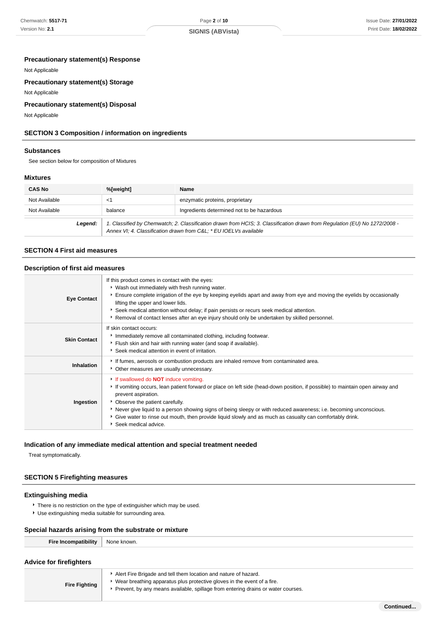### **Precautionary statement(s) Response**

Not Applicable

## **Precautionary statement(s) Storage**

Not Applicable

## **Precautionary statement(s) Disposal**

Not Applicable

## **SECTION 3 Composition / information on ingredients**

#### **Substances**

See section below for composition of Mixtures

#### **Mixtures**

| <b>CAS No</b> | %[weight] | Name                                                                                                                                                                                           |
|---------------|-----------|------------------------------------------------------------------------------------------------------------------------------------------------------------------------------------------------|
| Not Available | <1        | enzymatic proteins, proprietary                                                                                                                                                                |
| Not Available | balance   | Ingredients determined not to be hazardous                                                                                                                                                     |
| Legend:       |           | 1. Classified by Chemwatch; 2. Classification drawn from HCIS; 3. Classification drawn from Regulation (EU) No 1272/2008 -<br>Annex VI; 4. Classification drawn from C&L * EU IOELVs available |

#### **SECTION 4 First aid measures**

#### **Description of first aid measures**

| <b>Eye Contact</b>  | If this product comes in contact with the eyes:<br>• Wash out immediately with fresh running water.<br>Ensure complete irrigation of the eye by keeping eyelids apart and away from eye and moving the eyelids by occasionally<br>lifting the upper and lower lids.<br>▶ Seek medical attention without delay; if pain persists or recurs seek medical attention.<br>Removal of contact lenses after an eye injury should only be undertaken by skilled personnel.                              |
|---------------------|-------------------------------------------------------------------------------------------------------------------------------------------------------------------------------------------------------------------------------------------------------------------------------------------------------------------------------------------------------------------------------------------------------------------------------------------------------------------------------------------------|
| <b>Skin Contact</b> | If skin contact occurs:<br>Inmediately remove all contaminated clothing, including footwear.<br>Flush skin and hair with running water (and soap if available).<br>Seek medical attention in event of irritation.                                                                                                                                                                                                                                                                               |
| Inhalation          | If fumes, aerosols or combustion products are inhaled remove from contaminated area.<br>• Other measures are usually unnecessary.                                                                                                                                                                                                                                                                                                                                                               |
| Ingestion           | If swallowed do <b>NOT</b> induce vomiting.<br>If vomiting occurs, lean patient forward or place on left side (head-down position, if possible) to maintain open airway and<br>prevent aspiration.<br>Observe the patient carefully.<br>▶ Never give liquid to a person showing signs of being sleepy or with reduced awareness; i.e. becoming unconscious.<br>Give water to rinse out mouth, then provide liquid slowly and as much as casualty can comfortably drink.<br>Seek medical advice. |

#### **Indication of any immediate medical attention and special treatment needed**

Treat symptomatically.

#### **SECTION 5 Firefighting measures**

## **Extinguishing media**

- **There is no restriction on the type of extinguisher which may be used.**
- Use extinguishing media suitable for surrounding area.

## **Special hazards arising from the substrate or mixture**

| Fire Incompatibility           | None known. |
|--------------------------------|-------------|
|                                |             |
| <b>Advice for firefighters</b> |             |

| .                    |                                                                                                                                                                                                                                |
|----------------------|--------------------------------------------------------------------------------------------------------------------------------------------------------------------------------------------------------------------------------|
| <b>Fire Fighting</b> | Alert Fire Brigade and tell them location and nature of hazard.<br>Wear breathing apparatus plus protective gloves in the event of a fire.<br>Prevent, by any means available, spillage from entering drains or water courses. |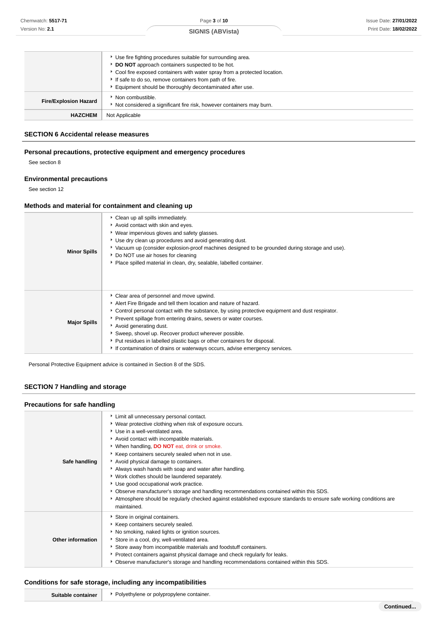|                              | ▶ Use fire fighting procedures suitable for surrounding area.<br>DO NOT approach containers suspected to be hot.<br>► Cool fire exposed containers with water spray from a protected location.<br>If safe to do so, remove containers from path of fire.<br>Equipment should be thoroughly decontaminated after use. |
|------------------------------|----------------------------------------------------------------------------------------------------------------------------------------------------------------------------------------------------------------------------------------------------------------------------------------------------------------------|
| <b>Fire/Explosion Hazard</b> | Non combustible.<br>Not considered a significant fire risk, however containers may burn.                                                                                                                                                                                                                             |
| <b>HAZCHEM</b>               | Not Applicable                                                                                                                                                                                                                                                                                                       |

## **SECTION 6 Accidental release measures**

## **Personal precautions, protective equipment and emergency procedures**

See section 8

## **Environmental precautions**

See section 12

## **Methods and material for containment and cleaning up**

| <b>Minor Spills</b> | Clean up all spills immediately.<br>Avoid contact with skin and eyes.<br>Vear impervious gloves and safety glasses.<br>Use dry clean up procedures and avoid generating dust.<br>▶ Vacuum up (consider explosion-proof machines designed to be grounded during storage and use).<br>Do NOT use air hoses for cleaning<br>• Place spilled material in clean, dry, sealable, labelled container.                                                                                                                                   |
|---------------------|----------------------------------------------------------------------------------------------------------------------------------------------------------------------------------------------------------------------------------------------------------------------------------------------------------------------------------------------------------------------------------------------------------------------------------------------------------------------------------------------------------------------------------|
| <b>Major Spills</b> | Clear area of personnel and move upwind.<br>Alert Fire Brigade and tell them location and nature of hazard.<br>Control personal contact with the substance, by using protective equipment and dust respirator.<br>• Prevent spillage from entering drains, sewers or water courses.<br>Avoid generating dust.<br>Sweep, shovel up. Recover product wherever possible.<br>▶ Put residues in labelled plastic bags or other containers for disposal.<br>If contamination of drains or waterways occurs, advise emergency services. |

Personal Protective Equipment advice is contained in Section 8 of the SDS.

## **SECTION 7 Handling and storage**

#### **Precautions for safe handling**

| Safe handling     | Limit all unnecessary personal contact.<br>▶ Wear protective clothing when risk of exposure occurs.<br>▶ Use in a well-ventilated area.<br>Avoid contact with incompatible materials.<br>* When handling, <b>DO NOT</b> eat, drink or smoke.<br>Keep containers securely sealed when not in use.<br>Avoid physical damage to containers.<br>Always wash hands with soap and water after handling.<br>* Work clothes should be laundered separately.<br>Use good occupational work practice.<br>▶ Observe manufacturer's storage and handling recommendations contained within this SDS.<br>Atmosphere should be regularly checked against established exposure standards to ensure safe working conditions are<br>maintained. |
|-------------------|-------------------------------------------------------------------------------------------------------------------------------------------------------------------------------------------------------------------------------------------------------------------------------------------------------------------------------------------------------------------------------------------------------------------------------------------------------------------------------------------------------------------------------------------------------------------------------------------------------------------------------------------------------------------------------------------------------------------------------|
| Other information | Store in original containers.<br>Keep containers securely sealed.<br>No smoking, naked lights or ignition sources.<br>Store in a cool, dry, well-ventilated area.<br>Store away from incompatible materials and foodstuff containers.<br>▶ Protect containers against physical damage and check regularly for leaks.<br>▶ Observe manufacturer's storage and handling recommendations contained within this SDS.                                                                                                                                                                                                                                                                                                              |

#### **Conditions for safe storage, including any incompatibilities**

| šп<br>. | יומש<br>≏ontaine∟<br>.nr<br>1T F 1<br>۱Г<br>the contract of the contract of the contract of the contract of the contract of the contract of the contract of<br>and the state of the con-<br>and the contract of |
|---------|-----------------------------------------------------------------------------------------------------------------------------------------------------------------------------------------------------------------|
|         |                                                                                                                                                                                                                 |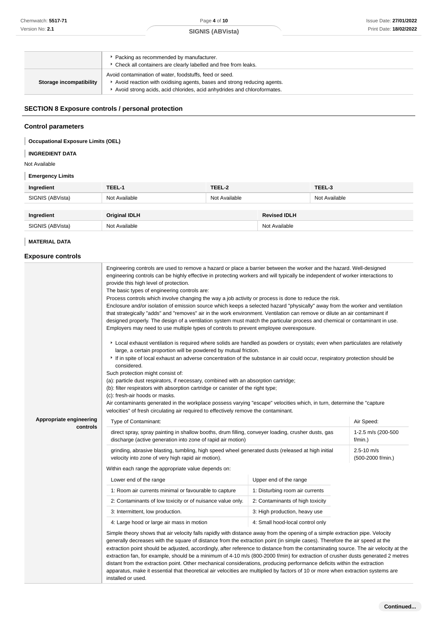Page **4** of **10 SIGNIS (ABVista)**

|                         | ▶ Packing as recommended by manufacturer.                               |
|-------------------------|-------------------------------------------------------------------------|
|                         | Check all containers are clearly labelled and free from leaks.          |
|                         | Avoid contamination of water, foodstuffs, feed or seed.                 |
| Storage incompatibility | Avoid reaction with oxidising agents, bases and strong reducing agents. |
|                         | Avoid strong acids, acid chlorides, acid anhydrides and chloroformates. |

## **SECTION 8 Exposure controls / personal protection**

## **Control parameters**

## **Occupational Exposure Limits (OEL)**

#### **INGREDIENT DATA** I

Not Available

## **Emergency Limits**

| Ingredient       | TEEL-1               | TEEL-2        |                     | TEEL-3        |
|------------------|----------------------|---------------|---------------------|---------------|
| SIGNIS (ABVista) | Not Available        | Not Available |                     | Not Available |
|                  |                      |               |                     |               |
| Ingredient       | <b>Original IDLH</b> |               | <b>Revised IDLH</b> |               |
| SIGNIS (ABVista) | Not Available        |               | Not Available       |               |

## **MATERIAL DATA**

## **Exposure controls**

|                         | Engineering controls are used to remove a hazard or place a barrier between the worker and the hazard. Well-designed<br>engineering controls can be highly effective in protecting workers and will typically be independent of worker interactions to<br>provide this high level of protection.<br>The basic types of engineering controls are:<br>Process controls which involve changing the way a job activity or process is done to reduce the risk.<br>Enclosure and/or isolation of emission source which keeps a selected hazard "physically" away from the worker and ventilation<br>that strategically "adds" and "removes" air in the work environment. Ventilation can remove or dilute an air contaminant if<br>designed properly. The design of a ventilation system must match the particular process and chemical or contaminant in use.<br>Employers may need to use multiple types of controls to prevent employee overexposure.<br>Local exhaust ventilation is required where solids are handled as powders or crystals; even when particulates are relatively<br>large, a certain proportion will be powdered by mutual friction.<br>If in spite of local exhaust an adverse concentration of the substance in air could occur, respiratory protection should be<br>considered.<br>Such protection might consist of:<br>(a): particle dust respirators, if necessary, combined with an absorption cartridge;<br>(b): filter respirators with absorption cartridge or canister of the right type;<br>(c): fresh-air hoods or masks.<br>Air contaminants generated in the workplace possess varying "escape" velocities which, in turn, determine the "capture"<br>velocities" of fresh circulating air required to effectively remove the contaminant. |                                  |                                     |  |
|-------------------------|----------------------------------------------------------------------------------------------------------------------------------------------------------------------------------------------------------------------------------------------------------------------------------------------------------------------------------------------------------------------------------------------------------------------------------------------------------------------------------------------------------------------------------------------------------------------------------------------------------------------------------------------------------------------------------------------------------------------------------------------------------------------------------------------------------------------------------------------------------------------------------------------------------------------------------------------------------------------------------------------------------------------------------------------------------------------------------------------------------------------------------------------------------------------------------------------------------------------------------------------------------------------------------------------------------------------------------------------------------------------------------------------------------------------------------------------------------------------------------------------------------------------------------------------------------------------------------------------------------------------------------------------------------------------------------------------------------------------------------------------------------------------------|----------------------------------|-------------------------------------|--|
| Appropriate engineering | Type of Contaminant:                                                                                                                                                                                                                                                                                                                                                                                                                                                                                                                                                                                                                                                                                                                                                                                                                                                                                                                                                                                                                                                                                                                                                                                                                                                                                                                                                                                                                                                                                                                                                                                                                                                                                                                                                       |                                  | Air Speed:                          |  |
| controls                | direct spray, spray painting in shallow booths, drum filling, conveyer loading, crusher dusts, gas<br>discharge (active generation into zone of rapid air motion)                                                                                                                                                                                                                                                                                                                                                                                                                                                                                                                                                                                                                                                                                                                                                                                                                                                                                                                                                                                                                                                                                                                                                                                                                                                                                                                                                                                                                                                                                                                                                                                                          |                                  | 1-2.5 m/s (200-500<br>f/min.)       |  |
|                         | grinding, abrasive blasting, tumbling, high speed wheel generated dusts (released at high initial<br>velocity into zone of very high rapid air motion).                                                                                                                                                                                                                                                                                                                                                                                                                                                                                                                                                                                                                                                                                                                                                                                                                                                                                                                                                                                                                                                                                                                                                                                                                                                                                                                                                                                                                                                                                                                                                                                                                    |                                  | $2.5 - 10$ m/s<br>(500-2000 f/min.) |  |
|                         | Within each range the appropriate value depends on:                                                                                                                                                                                                                                                                                                                                                                                                                                                                                                                                                                                                                                                                                                                                                                                                                                                                                                                                                                                                                                                                                                                                                                                                                                                                                                                                                                                                                                                                                                                                                                                                                                                                                                                        |                                  |                                     |  |
|                         | Lower end of the range                                                                                                                                                                                                                                                                                                                                                                                                                                                                                                                                                                                                                                                                                                                                                                                                                                                                                                                                                                                                                                                                                                                                                                                                                                                                                                                                                                                                                                                                                                                                                                                                                                                                                                                                                     | Upper end of the range           |                                     |  |
|                         | 1: Room air currents minimal or favourable to capture                                                                                                                                                                                                                                                                                                                                                                                                                                                                                                                                                                                                                                                                                                                                                                                                                                                                                                                                                                                                                                                                                                                                                                                                                                                                                                                                                                                                                                                                                                                                                                                                                                                                                                                      | 1: Disturbing room air currents  |                                     |  |
|                         | 2: Contaminants of low toxicity or of nuisance value only.                                                                                                                                                                                                                                                                                                                                                                                                                                                                                                                                                                                                                                                                                                                                                                                                                                                                                                                                                                                                                                                                                                                                                                                                                                                                                                                                                                                                                                                                                                                                                                                                                                                                                                                 | 2: Contaminants of high toxicity |                                     |  |
|                         | 3: Intermittent, low production.                                                                                                                                                                                                                                                                                                                                                                                                                                                                                                                                                                                                                                                                                                                                                                                                                                                                                                                                                                                                                                                                                                                                                                                                                                                                                                                                                                                                                                                                                                                                                                                                                                                                                                                                           | 3: High production, heavy use    |                                     |  |
|                         | 4: Large hood or large air mass in motion                                                                                                                                                                                                                                                                                                                                                                                                                                                                                                                                                                                                                                                                                                                                                                                                                                                                                                                                                                                                                                                                                                                                                                                                                                                                                                                                                                                                                                                                                                                                                                                                                                                                                                                                  | 4: Small hood-local control only |                                     |  |
|                         | Simple theory shows that air velocity falls rapidly with distance away from the opening of a simple extraction pipe. Velocity<br>generally decreases with the square of distance from the extraction point (in simple cases). Therefore the air speed at the<br>extraction point should be adjusted, accordingly, after reference to distance from the contaminating source. The air velocity at the<br>extraction fan, for example, should be a minimum of 4-10 m/s (800-2000 f/min) for extraction of crusher dusts generated 2 metres<br>distant from the extraction point. Other mechanical considerations, producing performance deficits within the extraction<br>apparatus, make it essential that theoretical air velocities are multiplied by factors of 10 or more when extraction systems are<br>installed or used.                                                                                                                                                                                                                                                                                                                                                                                                                                                                                                                                                                                                                                                                                                                                                                                                                                                                                                                                             |                                  |                                     |  |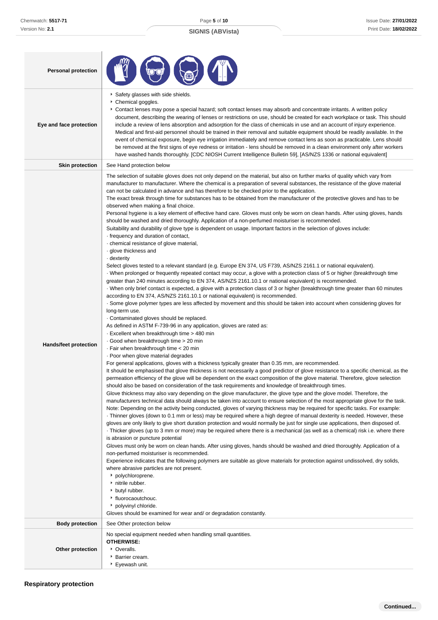## **SIGNIS (ABVista)**

| <b>Personal protection</b>   |                                                                                                                                                                                                                                                                                                                                                                                                                                                                                                                                                                                                                                                                                                                                                                                                                                                                                                                                                                                                                                                                                                                                                                                                                                                                                                                                                                                                                                                                                                                                                                                                                                                                                                                                                                                                                                                                                                                                                                                                                                                                                                                                                                                                                                                                                                                                                                                                                                                                                                                                                                                                                                                                                                                                                                                                                                                                                                                                                                                                                                                                                                                                                                                                                                                                                                                                                                                                                                                                                                                                                                                                                                                                                                                                                                                                                                                                                                                           |
|------------------------------|---------------------------------------------------------------------------------------------------------------------------------------------------------------------------------------------------------------------------------------------------------------------------------------------------------------------------------------------------------------------------------------------------------------------------------------------------------------------------------------------------------------------------------------------------------------------------------------------------------------------------------------------------------------------------------------------------------------------------------------------------------------------------------------------------------------------------------------------------------------------------------------------------------------------------------------------------------------------------------------------------------------------------------------------------------------------------------------------------------------------------------------------------------------------------------------------------------------------------------------------------------------------------------------------------------------------------------------------------------------------------------------------------------------------------------------------------------------------------------------------------------------------------------------------------------------------------------------------------------------------------------------------------------------------------------------------------------------------------------------------------------------------------------------------------------------------------------------------------------------------------------------------------------------------------------------------------------------------------------------------------------------------------------------------------------------------------------------------------------------------------------------------------------------------------------------------------------------------------------------------------------------------------------------------------------------------------------------------------------------------------------------------------------------------------------------------------------------------------------------------------------------------------------------------------------------------------------------------------------------------------------------------------------------------------------------------------------------------------------------------------------------------------------------------------------------------------------------------------------------------------------------------------------------------------------------------------------------------------------------------------------------------------------------------------------------------------------------------------------------------------------------------------------------------------------------------------------------------------------------------------------------------------------------------------------------------------------------------------------------------------------------------------------------------------------------------------------------------------------------------------------------------------------------------------------------------------------------------------------------------------------------------------------------------------------------------------------------------------------------------------------------------------------------------------------------------------------------------------------------------------------------------------------------------------|
| Eye and face protection      | Safety glasses with side shields.<br>Chemical goggles.<br>Contact lenses may pose a special hazard; soft contact lenses may absorb and concentrate irritants. A written policy<br>document, describing the wearing of lenses or restrictions on use, should be created for each workplace or task. This should<br>include a review of lens absorption and adsorption for the class of chemicals in use and an account of injury experience.<br>Medical and first-aid personnel should be trained in their removal and suitable equipment should be readily available. In the<br>event of chemical exposure, begin eye irrigation immediately and remove contact lens as soon as practicable. Lens should<br>be removed at the first signs of eye redness or irritation - lens should be removed in a clean environment only after workers<br>have washed hands thoroughly. [CDC NIOSH Current Intelligence Bulletin 59], [AS/NZS 1336 or national equivalent]                                                                                                                                                                                                                                                                                                                                                                                                                                                                                                                                                                                                                                                                                                                                                                                                                                                                                                                                                                                                                                                                                                                                                                                                                                                                                                                                                                                                                                                                                                                                                                                                                                                                                                                                                                                                                                                                                                                                                                                                                                                                                                                                                                                                                                                                                                                                                                                                                                                                                                                                                                                                                                                                                                                                                                                                                                                                                                                                                             |
| <b>Skin protection</b>       | See Hand protection below                                                                                                                                                                                                                                                                                                                                                                                                                                                                                                                                                                                                                                                                                                                                                                                                                                                                                                                                                                                                                                                                                                                                                                                                                                                                                                                                                                                                                                                                                                                                                                                                                                                                                                                                                                                                                                                                                                                                                                                                                                                                                                                                                                                                                                                                                                                                                                                                                                                                                                                                                                                                                                                                                                                                                                                                                                                                                                                                                                                                                                                                                                                                                                                                                                                                                                                                                                                                                                                                                                                                                                                                                                                                                                                                                                                                                                                                                                 |
| <b>Hands/feet protection</b> | The selection of suitable gloves does not only depend on the material, but also on further marks of quality which vary from<br>manufacturer to manufacturer. Where the chemical is a preparation of several substances, the resistance of the glove material<br>can not be calculated in advance and has therefore to be checked prior to the application.<br>The exact break through time for substances has to be obtained from the manufacturer of the protective gloves and has to be<br>observed when making a final choice.<br>Personal hygiene is a key element of effective hand care. Gloves must only be worn on clean hands. After using gloves, hands<br>should be washed and dried thoroughly. Application of a non-perfumed moisturiser is recommended.<br>Suitability and durability of glove type is dependent on usage. Important factors in the selection of gloves include:<br>frequency and duration of contact,<br>· chemical resistance of glove material,<br>· glove thickness and<br>dexterity -<br>Select gloves tested to a relevant standard (e.g. Europe EN 374, US F739, AS/NZS 2161.1 or national equivalent).<br>When prolonged or frequently repeated contact may occur, a glove with a protection class of 5 or higher (breakthrough time<br>greater than 240 minutes according to EN 374, AS/NZS 2161.10.1 or national equivalent) is recommended.<br>· When only brief contact is expected, a glove with a protection class of 3 or higher (breakthrough time greater than 60 minutes<br>according to EN 374, AS/NZS 2161.10.1 or national equivalent) is recommended.<br>. Some glove polymer types are less affected by movement and this should be taken into account when considering gloves for<br>long-term use.<br>Contaminated gloves should be replaced.<br>As defined in ASTM F-739-96 in any application, gloves are rated as:<br>Excellent when breakthrough time > 480 min<br>Good when breakthrough time > 20 min<br>Fair when breakthrough time < 20 min<br>· Poor when glove material degrades<br>For general applications, gloves with a thickness typically greater than 0.35 mm, are recommended.<br>It should be emphasised that glove thickness is not necessarily a good predictor of glove resistance to a specific chemical, as the<br>permeation efficiency of the glove will be dependent on the exact composition of the glove material. Therefore, glove selection<br>should also be based on consideration of the task requirements and knowledge of breakthrough times.<br>Glove thickness may also vary depending on the glove manufacturer, the glove type and the glove model. Therefore, the<br>manufacturers technical data should always be taken into account to ensure selection of the most appropriate glove for the task.<br>Note: Depending on the activity being conducted, gloves of varying thickness may be required for specific tasks. For example:<br>Thinner gloves (down to 0.1 mm or less) may be required where a high degree of manual dexterity is needed. However, these<br>gloves are only likely to give short duration protection and would normally be just for single use applications, then disposed of.<br>Thicker gloves (up to 3 mm or more) may be required where there is a mechanical (as well as a chemical) risk i.e. where there<br>is abrasion or puncture potential<br>Gloves must only be worn on clean hands. After using gloves, hands should be washed and dried thoroughly. Application of a<br>non-perfumed moisturiser is recommended.<br>Experience indicates that the following polymers are suitable as glove materials for protection against undissolved, dry solids,<br>where abrasive particles are not present.<br>• polychloroprene.<br>initrile rubber.<br>butyl rubber.<br>▶ fluorocaoutchouc.<br>polyvinyl chloride.<br>Gloves should be examined for wear and/ or degradation constantly. |
| <b>Body protection</b>       | See Other protection below                                                                                                                                                                                                                                                                                                                                                                                                                                                                                                                                                                                                                                                                                                                                                                                                                                                                                                                                                                                                                                                                                                                                                                                                                                                                                                                                                                                                                                                                                                                                                                                                                                                                                                                                                                                                                                                                                                                                                                                                                                                                                                                                                                                                                                                                                                                                                                                                                                                                                                                                                                                                                                                                                                                                                                                                                                                                                                                                                                                                                                                                                                                                                                                                                                                                                                                                                                                                                                                                                                                                                                                                                                                                                                                                                                                                                                                                                                |
| Other protection             | No special equipment needed when handling small quantities.<br><b>OTHERWISE:</b><br>• Overalls.<br>▶ Barrier cream.<br>▶ Eyewash unit.                                                                                                                                                                                                                                                                                                                                                                                                                                                                                                                                                                                                                                                                                                                                                                                                                                                                                                                                                                                                                                                                                                                                                                                                                                                                                                                                                                                                                                                                                                                                                                                                                                                                                                                                                                                                                                                                                                                                                                                                                                                                                                                                                                                                                                                                                                                                                                                                                                                                                                                                                                                                                                                                                                                                                                                                                                                                                                                                                                                                                                                                                                                                                                                                                                                                                                                                                                                                                                                                                                                                                                                                                                                                                                                                                                                    |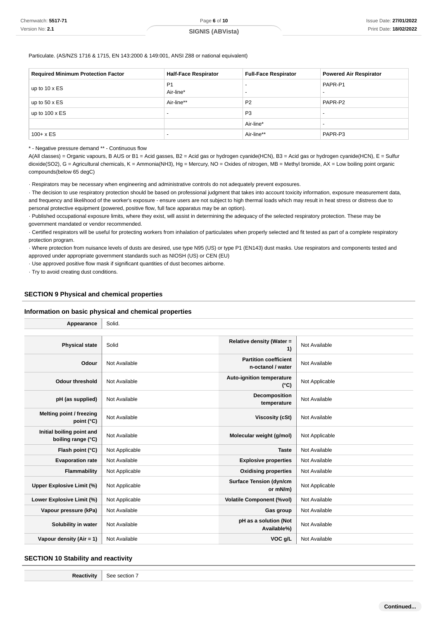**SIGNIS (ABVista)**

Particulate. (AS/NZS 1716 & 1715, EN 143:2000 & 149:001, ANSI Z88 or national equivalent)

| <b>Required Minimum Protection Factor</b> | <b>Half-Face Respirator</b> | <b>Full-Face Respirator</b> | <b>Powered Air Respirator</b>       |
|-------------------------------------------|-----------------------------|-----------------------------|-------------------------------------|
| up to 10 x ES                             | P <sub>1</sub><br>Air-line* | $\overline{\phantom{0}}$    | PAPR-P1<br>$\overline{\phantom{0}}$ |
| up to $50 \times ES$                      | Air-line**                  | P <sub>2</sub>              | PAPR-P2                             |
| up to $100 \times ES$                     | $\overline{\phantom{0}}$    | P <sub>3</sub>              |                                     |
|                                           |                             | Air-line*                   |                                     |
| $100 + x ES$                              | $\overline{\phantom{0}}$    | Air-line**                  | PAPR-P3                             |

\* - Negative pressure demand \*\* - Continuous flow

A(All classes) = Organic vapours, B AUS or B1 = Acid gasses, B2 = Acid gas or hydrogen cyanide(HCN), B3 = Acid gas or hydrogen cyanide(HCN), E = Sulfur dioxide(SO2), G = Agricultural chemicals, K = Ammonia(NH3), Hg = Mercury, NO = Oxides of nitrogen, MB = Methyl bromide, AX = Low boiling point organic compounds(below 65 degC)

· Respirators may be necessary when engineering and administrative controls do not adequately prevent exposures.

· The decision to use respiratory protection should be based on professional judgment that takes into account toxicity information, exposure measurement data, and frequency and likelihood of the worker's exposure - ensure users are not subject to high thermal loads which may result in heat stress or distress due to personal protective equipment (powered, positive flow, full face apparatus may be an option).

· Published occupational exposure limits, where they exist, will assist in determining the adequacy of the selected respiratory protection. These may be government mandated or vendor recommended.

· Certified respirators will be useful for protecting workers from inhalation of particulates when properly selected and fit tested as part of a complete respiratory protection program.

· Where protection from nuisance levels of dusts are desired, use type N95 (US) or type P1 (EN143) dust masks. Use respirators and components tested and approved under appropriate government standards such as NIOSH (US) or CEN (EU)

· Use approved positive flow mask if significant quantities of dust becomes airborne.

· Try to avoid creating dust conditions.

## **SECTION 9 Physical and chemical properties**

#### **Information on basic physical and chemical properties**

| Appearance                                      | Solid.         |                                                   |                |
|-------------------------------------------------|----------------|---------------------------------------------------|----------------|
|                                                 |                |                                                   |                |
| <b>Physical state</b>                           | Solid          | Relative density (Water =<br>1)                   | Not Available  |
| Odour                                           | Not Available  | <b>Partition coefficient</b><br>n-octanol / water | Not Available  |
| <b>Odour threshold</b>                          | Not Available  | Auto-ignition temperature<br>$(^{\circ}C)$        | Not Applicable |
| pH (as supplied)                                | Not Available  | Decomposition<br>temperature                      | Not Available  |
| Melting point / freezing<br>point $(^{\circ}C)$ | Not Available  | <b>Viscosity (cSt)</b>                            | Not Available  |
| Initial boiling point and<br>boiling range (°C) | Not Available  | Molecular weight (g/mol)                          | Not Applicable |
| Flash point (°C)                                | Not Applicable | <b>Taste</b>                                      | Not Available  |
| <b>Evaporation rate</b>                         | Not Available  | <b>Explosive properties</b>                       | Not Available  |
| Flammability                                    | Not Applicable | <b>Oxidising properties</b>                       | Not Available  |
| <b>Upper Explosive Limit (%)</b>                | Not Applicable | <b>Surface Tension (dyn/cm</b><br>or mN/m)        | Not Applicable |
| Lower Explosive Limit (%)                       | Not Applicable | <b>Volatile Component (%vol)</b>                  | Not Available  |
| Vapour pressure (kPa)                           | Not Available  | Gas group                                         | Not Available  |
| Solubility in water                             | Not Available  | pH as a solution (Not<br>Available%)              | Not Available  |
| Vapour density $(Air = 1)$                      | Not Available  | VOC g/L                                           | Not Available  |

#### **SECTION 10 Stability and reactivity**

**Reactivity** | See section 7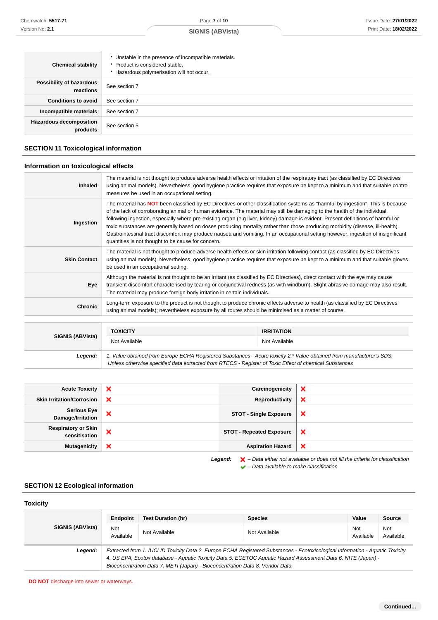| <b>Chemical stability</b>                  | • Unstable in the presence of incompatible materials.<br>▶ Product is considered stable.<br>Hazardous polymerisation will not occur. |
|--------------------------------------------|--------------------------------------------------------------------------------------------------------------------------------------|
| Possibility of hazardous<br>reactions      | See section 7                                                                                                                        |
| <b>Conditions to avoid</b>                 | See section 7                                                                                                                        |
| Incompatible materials                     | See section 7                                                                                                                        |
| <b>Hazardous decomposition</b><br>products | See section 5                                                                                                                        |

## **SECTION 11 Toxicological information**

## **Information on toxicological effects**

| <b>Inhaled</b>      | The material is not thought to produce adverse health effects or irritation of the respiratory tract (as classified by EC Directives<br>using animal models). Nevertheless, good hygiene practice requires that exposure be kept to a minimum and that suitable control<br>measures be used in an occupational setting.                                                                                                                                                                                                                                                                                                                                                                                                                 |
|---------------------|-----------------------------------------------------------------------------------------------------------------------------------------------------------------------------------------------------------------------------------------------------------------------------------------------------------------------------------------------------------------------------------------------------------------------------------------------------------------------------------------------------------------------------------------------------------------------------------------------------------------------------------------------------------------------------------------------------------------------------------------|
| Ingestion           | The material has <b>NOT</b> been classified by EC Directives or other classification systems as "harmful by ingestion". This is because<br>of the lack of corroborating animal or human evidence. The material may still be damaging to the health of the individual,<br>following ingestion, especially where pre-existing organ (e.g liver, kidney) damage is evident. Present definitions of harmful or<br>toxic substances are generally based on doses producing mortality rather than those producing morbidity (disease, ill-health).<br>Gastrointestinal tract discomfort may produce nausea and vomiting. In an occupational setting however, ingestion of insignificant<br>quantities is not thought to be cause for concern. |
| <b>Skin Contact</b> | The material is not thought to produce adverse health effects or skin irritation following contact (as classified by EC Directives<br>using animal models). Nevertheless, good hygiene practice requires that exposure be kept to a minimum and that suitable gloves<br>be used in an occupational setting.                                                                                                                                                                                                                                                                                                                                                                                                                             |
| Eye                 | Although the material is not thought to be an irritant (as classified by EC Directives), direct contact with the eye may cause<br>transient discomfort characterised by tearing or conjunctival redness (as with windburn). Slight abrasive damage may also result.<br>The material may produce foreign body irritation in certain individuals.                                                                                                                                                                                                                                                                                                                                                                                         |
| <b>Chronic</b>      | Long-term exposure to the product is not thought to produce chronic effects adverse to health (as classified by EC Directives<br>using animal models); nevertheless exposure by all routes should be minimised as a matter of course.                                                                                                                                                                                                                                                                                                                                                                                                                                                                                                   |

| SIGNIS (ABVista) | <b>TOXICITY</b><br>Not Available                                                                                                                                                                                                | <b>IRRITATION</b><br>Not Available |  |
|------------------|---------------------------------------------------------------------------------------------------------------------------------------------------------------------------------------------------------------------------------|------------------------------------|--|
| Legend:          | 1. Value obtained from Europe ECHA Registered Substances - Acute toxicity 2.* Value obtained from manufacturer's SDS.<br>Unless otherwise specified data extracted from RTECS - Register of Toxic Effect of chemical Substances |                                    |  |

| <b>Acute Toxicity</b>                       | × | Carcinogenicity                 | $\boldsymbol{\mathsf{x}}$                                                                          |
|---------------------------------------------|---|---------------------------------|----------------------------------------------------------------------------------------------------|
| <b>Skin Irritation/Corrosion</b>            | × | Reproductivity                  | $\boldsymbol{\mathsf{x}}$                                                                          |
| <b>Serious Eye</b><br>Damage/Irritation     | × | <b>STOT - Single Exposure</b>   | $\boldsymbol{\mathsf{x}}$                                                                          |
| <b>Respiratory or Skin</b><br>sensitisation | × | <b>STOT - Repeated Exposure</b> | $\boldsymbol{\mathsf{x}}$                                                                          |
| <b>Mutagenicity</b>                         | × | <b>Aspiration Hazard</b>        | $\boldsymbol{\mathsf{x}}$                                                                          |
|                                             |   | Legend:                         | $\blacktriangleright$ - Data either not available or does not fill the criteria for classification |

 $\blacktriangleright$  – Data available to make classification

## **SECTION 12 Ecological information**

| <b>Toxicity</b>         |                                                                                                                                                                                                                                                                                                                                |                           |                |                  |                  |
|-------------------------|--------------------------------------------------------------------------------------------------------------------------------------------------------------------------------------------------------------------------------------------------------------------------------------------------------------------------------|---------------------------|----------------|------------------|------------------|
|                         | Endpoint                                                                                                                                                                                                                                                                                                                       | <b>Test Duration (hr)</b> | <b>Species</b> | Value            | Source           |
| <b>SIGNIS (ABVista)</b> | Not<br>Available                                                                                                                                                                                                                                                                                                               | Not Available             | Not Available  | Not<br>Available | Not<br>Available |
| Legend:                 | Extracted from 1. IUCLID Toxicity Data 2. Europe ECHA Registered Substances - Ecotoxicological Information - Aquatic Toxicity<br>4. US EPA, Ecotox database - Aquatic Toxicity Data 5. ECETOC Aquatic Hazard Assessment Data 6. NITE (Japan) -<br>Bioconcentration Data 7. METI (Japan) - Bioconcentration Data 8. Vendor Data |                           |                |                  |                  |

**DO NOT** discharge into sewer or waterways.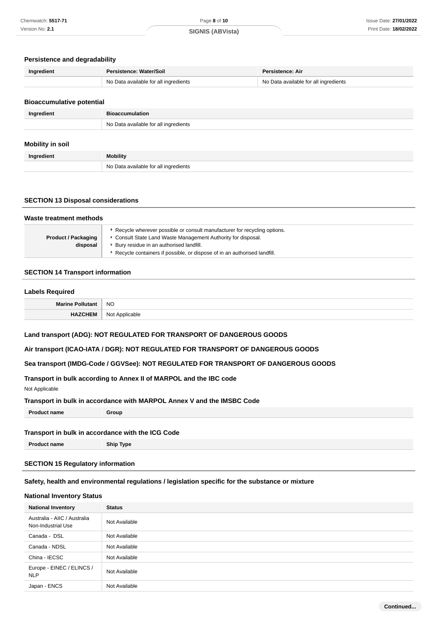#### **Persistence and degradability**

| Ingredient | Persistence: Water/Soil               | <b>Persistence: Air</b>               |  |
|------------|---------------------------------------|---------------------------------------|--|
|            | No Data available for all ingredients | No Data available for all ingredients |  |

#### **Bioaccumulative potential**

| Ingredient | Bioaccumulation                       |  |
|------------|---------------------------------------|--|
|            | No Data available for all ingredients |  |
|            |                                       |  |

## **Mobility in soil**

| Ingredient | <b>Mobility</b>                       |
|------------|---------------------------------------|
|            | No Data available for all ingredients |

## **SECTION 13 Disposal considerations**

| Waste treatment methods                |                                                                                                                                                                                                                                                                      |  |
|----------------------------------------|----------------------------------------------------------------------------------------------------------------------------------------------------------------------------------------------------------------------------------------------------------------------|--|
| <b>Product / Packaging</b><br>disposal | ▶ Recycle wherever possible or consult manufacturer for recycling options.<br>• Consult State Land Waste Management Authority for disposal.<br>▶ Bury residue in an authorised landfill.<br>Recycle containers if possible, or dispose of in an authorised landfill. |  |

#### **SECTION 14 Transport information**

#### **Labels Required**

| $\sim$            |                        |
|-------------------|------------------------|
| <b>Marine Po.</b> | <b>NO</b>              |
| <b>UNTCHEIM</b>   | Not<br>alıcahla<br>. . |

#### **Land transport (ADG): NOT REGULATED FOR TRANSPORT OF DANGEROUS GOODS**

#### **Air transport (ICAO-IATA / DGR): NOT REGULATED FOR TRANSPORT OF DANGEROUS GOODS**

#### **Sea transport (IMDG-Code / GGVSee): NOT REGULATED FOR TRANSPORT OF DANGEROUS GOODS**

## **Transport in bulk according to Annex II of MARPOL and the IBC code**

Not Applicable

#### **Transport in bulk in accordance with MARPOL Annex V and the IMSBC Code**

| Proc<br>Group<br>:t name<br>лне |  |
|---------------------------------|--|
|---------------------------------|--|

### **Transport in bulk in accordance with the ICG Code**

**Product name Ship Type**

## **SECTION 15 Regulatory information**

#### **Safety, health and environmental regulations / legislation specific for the substance or mixture**

#### **National Inventory Status**

| <b>National Inventory</b>                          | <b>Status</b> |
|----------------------------------------------------|---------------|
| Australia - AIIC / Australia<br>Non-Industrial Use | Not Available |
| Canada - DSL                                       | Not Available |
| Canada - NDSL                                      | Not Available |
| China - IECSC                                      | Not Available |
| Europe - EINEC / ELINCS /<br><b>NLP</b>            | Not Available |
| Japan - ENCS                                       | Not Available |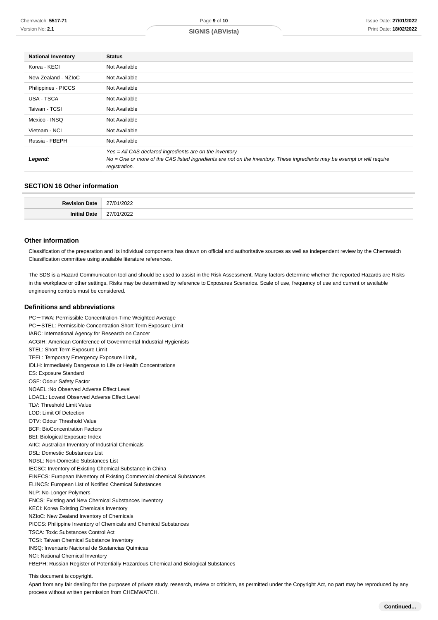| <b>National Inventory</b> | <b>Status</b>                                                                                                                                                                                        |
|---------------------------|------------------------------------------------------------------------------------------------------------------------------------------------------------------------------------------------------|
| Korea - KECI              | Not Available                                                                                                                                                                                        |
| New Zealand - NZIoC       | Not Available                                                                                                                                                                                        |
| Philippines - PICCS       | Not Available                                                                                                                                                                                        |
| USA - TSCA                | Not Available                                                                                                                                                                                        |
| Taiwan - TCSI             | Not Available                                                                                                                                                                                        |
| Mexico - INSQ             | Not Available                                                                                                                                                                                        |
| Vietnam - NCI             | Not Available                                                                                                                                                                                        |
| Russia - FBEPH            | Not Available                                                                                                                                                                                        |
| Legend:                   | Yes = All CAS declared ingredients are on the inventory<br>No = One or more of the CAS listed ingredients are not on the inventory. These ingredients may be exempt or will require<br>registration. |

#### **SECTION 16 Other information**

| . |  |
|---|--|
|   |  |

#### **Other information**

Classification of the preparation and its individual components has drawn on official and authoritative sources as well as independent review by the Chemwatch Classification committee using available literature references.

The SDS is a Hazard Communication tool and should be used to assist in the Risk Assessment. Many factors determine whether the reported Hazards are Risks in the workplace or other settings. Risks may be determined by reference to Exposures Scenarios. Scale of use, frequency of use and current or available engineering controls must be considered.

#### **Definitions and abbreviations**

PC-TWA: Permissible Concentration-Time Weighted Average PC-STEL: Permissible Concentration-Short Term Exposure Limit IARC: International Agency for Research on Cancer ACGIH: American Conference of Governmental Industrial Hygienists STEL: Short Term Exposure Limit TEEL: Temporary Emergency Exposure Limit。 IDLH: Immediately Dangerous to Life or Health Concentrations ES: Exposure Standard OSF: Odour Safety Factor NOAEL :No Observed Adverse Effect Level LOAEL: Lowest Observed Adverse Effect Level TLV: Threshold Limit Value LOD: Limit Of Detection OTV: Odour Threshold Value BCF: BioConcentration Factors BEI: Biological Exposure Index AIIC: Australian Inventory of Industrial Chemicals DSL: Domestic Substances List NDSL: Non-Domestic Substances List IECSC: Inventory of Existing Chemical Substance in China EINECS: European INventory of Existing Commercial chemical Substances ELINCS: European List of Notified Chemical Substances NLP: No-Longer Polymers ENCS: Existing and New Chemical Substances Inventory KECI: Korea Existing Chemicals Inventory NZIoC: New Zealand Inventory of Chemicals PICCS: Philippine Inventory of Chemicals and Chemical Substances TSCA: Toxic Substances Control Act TCSI: Taiwan Chemical Substance Inventory INSQ: Inventario Nacional de Sustancias Químicas NCI: National Chemical Inventory FBEPH: Russian Register of Potentially Hazardous Chemical and Biological Substances

This document is copyright.

Apart from any fair dealing for the purposes of private study, research, review or criticism, as permitted under the Copyright Act, no part may be reproduced by any process without written permission from CHEMWATCH.